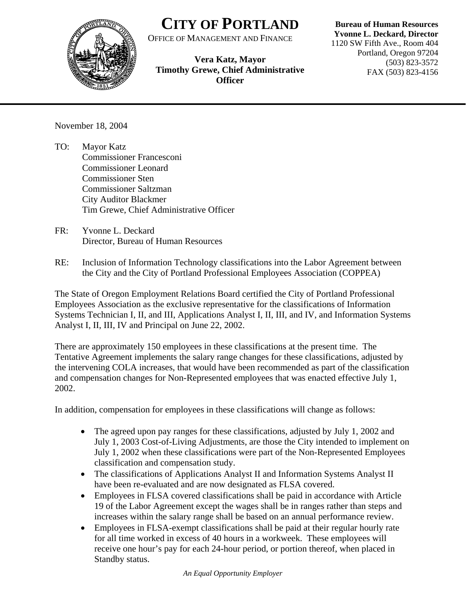

## **CITY OF PORTLAND**

OFFICE OF MANAGEMENT AND FINANCE

**Vera Katz, Mayor Timothy Grewe, Chief Administrative Officer**

## **Bureau of Human Resources**

**Yvonne L. Deckard, Director** 1120 SW Fifth Ave., Room 404 Portland, Oregon 97204 (503) 823-3572 FAX (503) 823-4156

November 18, 2004

- TO: Mayor Katz Commissioner Francesconi Commissioner Leonard Commissioner Sten Commissioner Saltzman City Auditor Blackmer Tim Grewe, Chief Administrative Officer
- FR: Yvonne L. Deckard Director, Bureau of Human Resources
- RE: Inclusion of Information Technology classifications into the Labor Agreement between the City and the City of Portland Professional Employees Association (COPPEA)

The State of Oregon Employment Relations Board certified the City of Portland Professional Employees Association as the exclusive representative for the classifications of Information Systems Technician I, II, and III, Applications Analyst I, II, III, and IV, and Information Systems Analyst I, II, III, IV and Principal on June 22, 2002.

There are approximately 150 employees in these classifications at the present time. The Tentative Agreement implements the salary range changes for these classifications, adjusted by the intervening COLA increases, that would have been recommended as part of the classification and compensation changes for Non-Represented employees that was enacted effective July 1, 2002.

In addition, compensation for employees in these classifications will change as follows:

- The agreed upon pay ranges for these classifications, adjusted by July 1, 2002 and July 1, 2003 Cost-of-Living Adjustments, are those the City intended to implement on July 1, 2002 when these classifications were part of the Non-Represented Employees classification and compensation study.
- The classifications of Applications Analyst II and Information Systems Analyst II have been re-evaluated and are now designated as FLSA covered.
- Employees in FLSA covered classifications shall be paid in accordance with Article 19 of the Labor Agreement except the wages shall be in ranges rather than steps and increases within the salary range shall be based on an annual performance review.
- Employees in FLSA-exempt classifications shall be paid at their regular hourly rate for all time worked in excess of 40 hours in a workweek. These employees will receive one hour's pay for each 24-hour period, or portion thereof, when placed in Standby status.